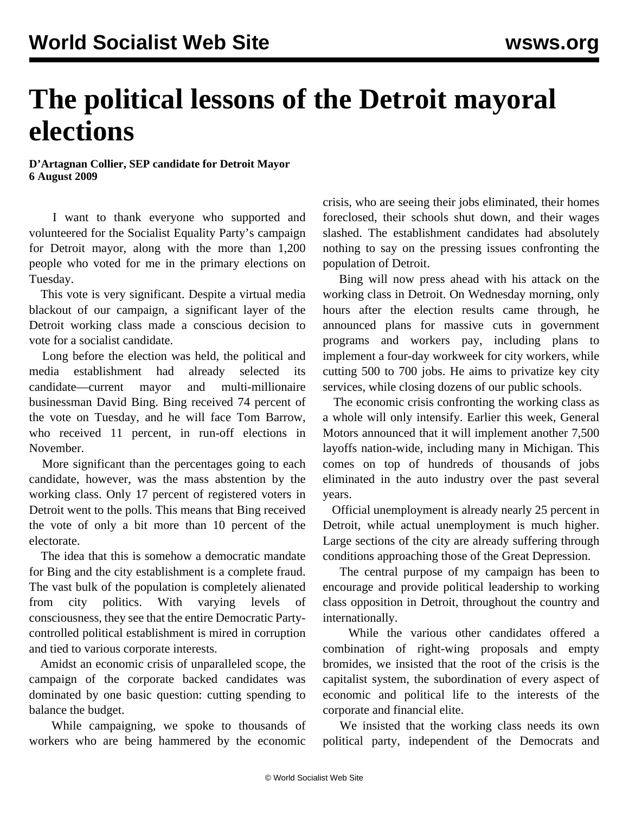## **The political lessons of the Detroit mayoral elections**

**D'Artagnan Collier, SEP candidate for Detroit Mayor 6 August 2009**

 I want to thank everyone who supported and volunteered for the Socialist Equality Party's campaign for Detroit mayor, along with the more than 1,200 people who voted for me in the primary elections on Tuesday.

 This vote is very significant. Despite a virtual media blackout of our campaign, a significant layer of the Detroit working class made a conscious decision to vote for a socialist candidate.

 Long before the election was held, the political and media establishment had already selected its candidate—current mayor and multi-millionaire businessman David Bing. Bing received 74 percent of the vote on Tuesday, and he will face Tom Barrow, who received 11 percent, in run-off elections in November.

 More significant than the percentages going to each candidate, however, was the mass abstention by the working class. Only 17 percent of registered voters in Detroit went to the polls. This means that Bing received the vote of only a bit more than 10 percent of the electorate.

 The idea that this is somehow a democratic mandate for Bing and the city establishment is a complete fraud. The vast bulk of the population is completely alienated from city politics. With varying levels of consciousness, they see that the entire Democratic Partycontrolled political establishment is mired in corruption and tied to various corporate interests.

 Amidst an economic crisis of unparalleled scope, the campaign of the corporate backed candidates was dominated by one basic question: cutting spending to balance the budget.

 While campaigning, we spoke to thousands of workers who are being hammered by the economic

crisis, who are seeing their jobs eliminated, their homes foreclosed, their schools shut down, and their wages slashed. The establishment candidates had absolutely nothing to say on the pressing issues confronting the population of Detroit.

 Bing will now press ahead with his attack on the working class in Detroit. On Wednesday morning, only hours after the election results came through, he announced plans for massive cuts in government programs and workers pay, including plans to implement a four-day workweek for city workers, while cutting 500 to 700 jobs. He aims to privatize key city services, while closing dozens of our public schools.

 The economic crisis confronting the working class as a whole will only intensify. Earlier this week, General Motors announced that it will implement another 7,500 layoffs nation-wide, including many in Michigan. This comes on top of hundreds of thousands of jobs eliminated in the auto industry over the past several years.

 Official unemployment is already nearly 25 percent in Detroit, while actual unemployment is much higher. Large sections of the city are already suffering through conditions approaching those of the Great Depression.

 The central purpose of my campaign has been to encourage and provide political leadership to working class opposition in Detroit, throughout the country and internationally.

 While the various other candidates offered a combination of right-wing proposals and empty bromides, we insisted that the root of the crisis is the capitalist system, the subordination of every aspect of economic and political life to the interests of the corporate and financial elite.

 We insisted that the working class needs its own political party, independent of the Democrats and